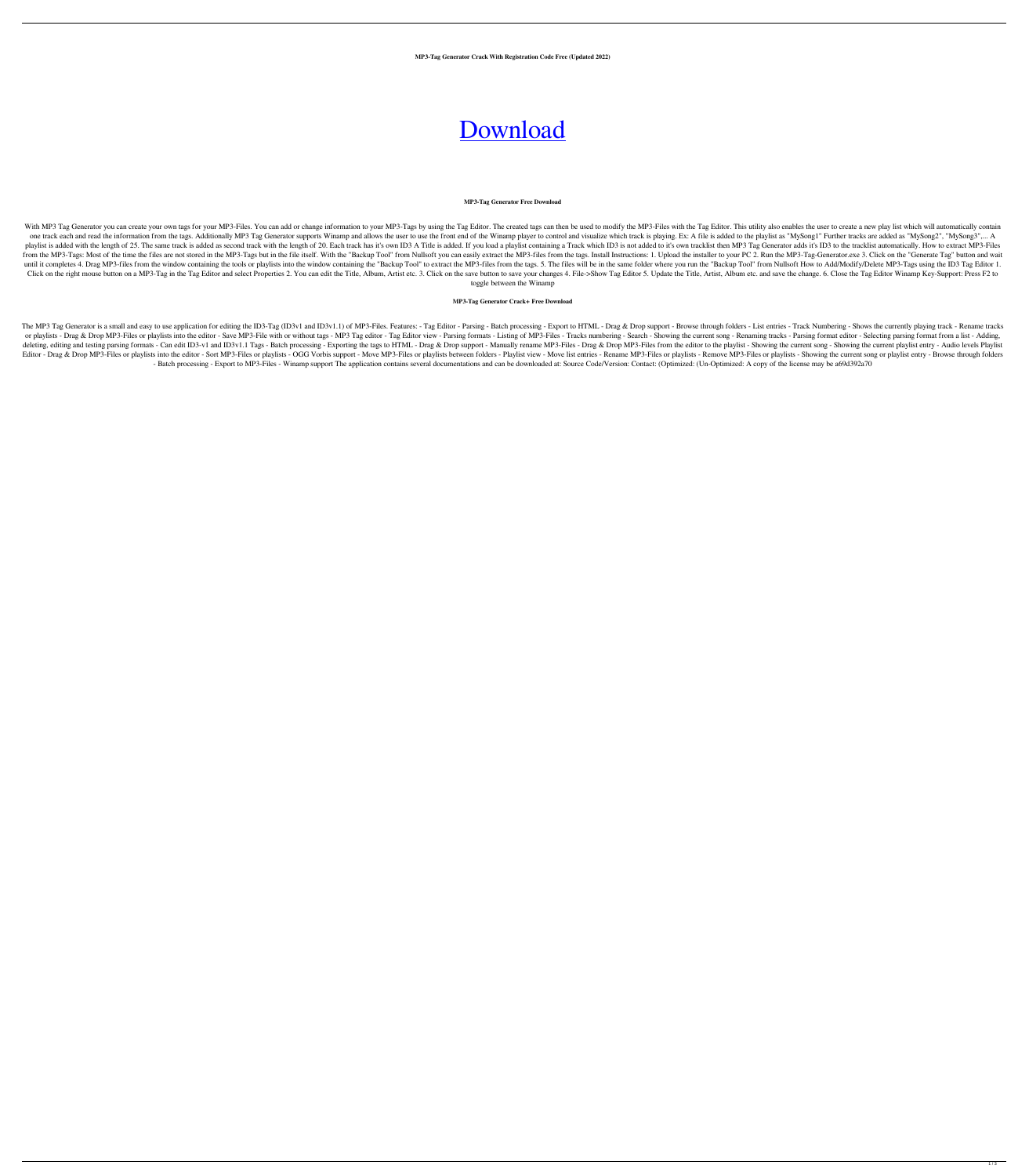**MP3-Tag Generator Crack With Registration Code Free (Updated 2022)**

# [Download](http://evacdir.com/beguiling.TVAzLVRhZyBHZW5lcmF0b3ITVA/alzeimers/guzzled/ZG93bmxvYWR8OHJQTkdwc2ZId3hOalUyTURJeE1qQTJmSHd5TlRrd2ZId29UU2tnVjI5eVpIQnlaWE56SUZ0WVRVeFNVRU1nVmpJZ1VFUkdYUQ/vertigo=inheriting)

#### **MP3-Tag Generator Free Download**

With MP3 Tag Generator you can create your own tags for your MP3-Files. You can add or change information to your MP3-Tags by using the Tag Editor. The created tags can then be used to modify the MP3-Files with the Tag Edi one track each and read the information from the tags. Additionally MP3 Tag Generator supports Winamp and allows the user to use the front end of the Winamp player to control and visualize which track is playing. Ex: A fil playlist is added with the length of 25. The same track is added as second track with the length of 20. Each track has it's own ID3 A Title is added. If you load a playlist containing a Track which ID3 is not added to it's from the MP3-Tags: Most of the time the files are not stored in the MP3-Tags but in the file itself. With the "Backup Tool" from Nullsoft you can easily extract the MP3-files from the tags. Install Instructions: 1. Upload until it completes 4. Drag MP3-files from the window containing the tools or playlists into the window containing the "Backup Tool" to extract the MP3-files from the tags. 5. The files will be in the same folder where you Click on the right mouse button on a MP3-Tag in the Tag Editor and select Properties 2. You can edit the Title, Album, Artist etc. 3. Click on the save button to save your changes 4. File->Show Tag Editor 5. Update the Tit toggle between the Winamp

### **MP3-Tag Generator Crack+ Free Download**

The MP3 Tag Generator is a small and easy to use application for editing the ID3-Tag (ID3v1 and ID3v1.1) of MP3-Files. Features: - Tag Editor - Parsing - Batch processing - Export to HTML - Drag & Drop support - Browse thr or playlists - Drag & Drop MP3-Files or playlists into the editor - Save MP3-File with or without tags - MP3 Tag editor - Tag Editor view - Parsing formats - Listing of MP3-Files - Tracks numbering - Search - Showing the c deleting, editing and testing parsing formats - Can edit ID3-v1 and ID3v1.1 Tags - Batch processing - Exporting the tags to HTML - Drag & Drop support - Manually rename MP3-Files from the editor to the playlist - Showing t Editor - Drag & Drop MP3-Files or playlists into the editor - Sort MP3-Files or playlists - OGG Vorbis support - Move MP3-Files or playlists between folders - Playlist view - Move list entries - Rename MP3-Files or playlis - Batch processing - Export to MP3-Files - Winamp support The application contains several documentations and can be downloaded at: Source Code/Version: Contact: (Optimized: (Un-Optimized: A copy of the license may be a69d

1 / 3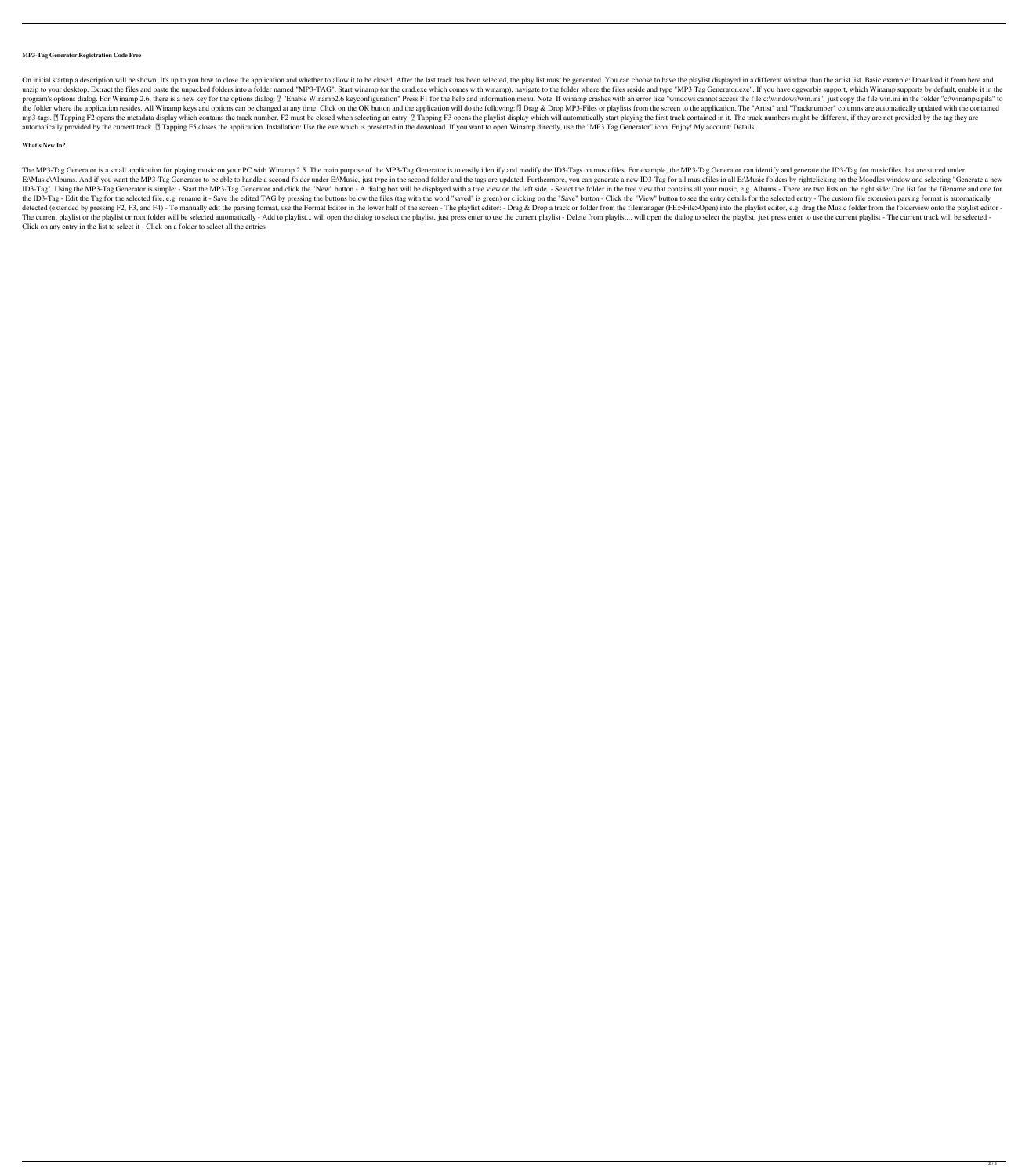## **MP3-Tag Generator Registration Code Free**

On initial startup a description will be shown. It's up to you how to close the application and whether to allow it to be closed. After the last track has been selected, the play list must be generated. You can choose to h unzip to your desktop. Extract the files and paste the unpacked folders into a folder named "MP3-TAG". Start winamp (or the cmd.exe which comes with winamp), navigate to the folder where the files reside and type "MP3 Tag program's options dialog. For Winamp 2.6, there is a new key for the options dialog: [7] "Enable Winamp2.6 key configuration" Press F1 for the help and information menu. Note: If winamp crashes with an error like "windows the folder where the application resides. All Winamp keys and options can be changed at any time. Click on the OK button and the application will do the following: 2 Drag & Drop MP3-Files or playlists from the screen to th mp3-tags. 2 Tapping F2 opens the metadata display which contains the track number. F2 must be closed when selecting an entry. 2 Tapping F3 opens the playlist display which will automatically start playing the first track c automatically provided by the current track. [?] Tapping F5 closes the application. Installation: Use the exe which is presented in the download. If you want to open Winamp directly, use the "MP3 Tag Generator" icon. Enjoy

## **What's New In?**

The MP3-Tag Generator is a small application for playing music on your PC with Winamp 2.5. The main purpose of the MP3-Tag Generator is to easily identify and modify the ID3-Tag Son musicfiles. For example, the MP3-Tag Gen E:\Music\Albums. And if you want the MP3-Tag Generator to be able to handle a second folder under E:\Music, just type in the second folder and the tags are updated. Furthermore, you can generate a new ID3-Tag for all music ID3-Tag". Using the MP3-Tag Generator is simple: - Start the MP3-Tag Generator and click the "New" button - A dialog box will be displayed with a tree view on the left side. - Select the folder in the tree view that contai the ID3-Tag - Edit the Tag for the selected file, e.g. rename it - Save the edited TAG by pressing the buttons below the files (tag with the word "saved" is green) or clicking on the "Save" button - Click the "View" button detected (extended by pressing F2, F3, and F4) - To manually edit the parsing format, use the Format Editor in the lower half of the screen - The playlist editor: - Drag & Drop a track or folder from the filemanager (FE:>F The current playlist or the playlist or root folder will be selected automatically - Add to playlist... will open the dialog to select the playlist, just press enter to use the current playlist... will open the dialog to s Click on any entry in the list to select it - Click on a folder to select all the entries